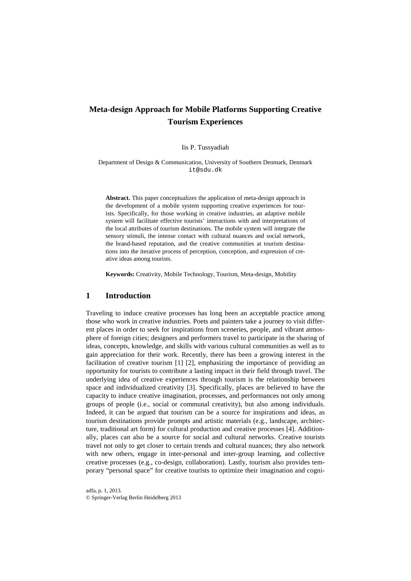# **Meta-design Approach for Mobile Platforms Supporting Creative Tourism Experiences**

#### Iis P. Tussyadiah

Department of Design & Communication, University of Southern Denmark, Denmark [it@sdu.dk](mailto:it@sdu.dk)

**Abstract.** This paper conceptualizes the application of meta-design approach in the development of a mobile system supporting creative experiences for tourists. Specifically, for those working in creative industries, an adaptive mobile system will facilitate effective tourists' interactions with and interpretations of the local attributes of tourism destinations. The mobile system will integrate the sensory stimuli, the intense contact with cultural nuances and social network, the brand-based reputation, and the creative communities at tourism destinations into the iterative process of perception, conception, and expression of creative ideas among tourists.

**Keywords:** Creativity, Mobile Technology, Tourism, Meta-design, Mobility

## **1 Introduction**

Traveling to induce creative processes has long been an acceptable practice among those who work in creative industries. Poets and painters take a journey to visit different places in order to seek for inspirations from sceneries, people, and vibrant atmosphere of foreign cities; designers and performers travel to participate in the sharing of ideas, concepts, knowledge, and skills with various cultural communities as well as to gain appreciation for their work. Recently, there has been a growing interest in the facilitation of creative tourism [1] [2], emphasizing the importance of providing an opportunity for tourists to contribute a lasting impact in their field through travel. The underlying idea of creative experiences through tourism is the relationship between space and individualized creativity [3]. Specifically, places are believed to have the capacity to induce creative imagination, processes, and performances not only among groups of people (i.e., social or communal creativity), but also among individuals. Indeed, it can be argued that tourism can be a source for inspirations and ideas, as tourism destinations provide prompts and artistic materials (e.g., landscape, architecture, traditional art form) for cultural production and creative processes [4]. Additionally, places can also be a source for social and cultural networks. Creative tourists travel not only to get closer to certain trends and cultural nuances; they also network with new others, engage in inter-personal and inter-group learning, and collective creative processes (e.g., co-design, collaboration). Lastly, tourism also provides temporary "personal space" for creative tourists to optimize their imagination and cogni-

adfa, p. 1, 2013. © Springer-Verlag Berlin Heidelberg 2013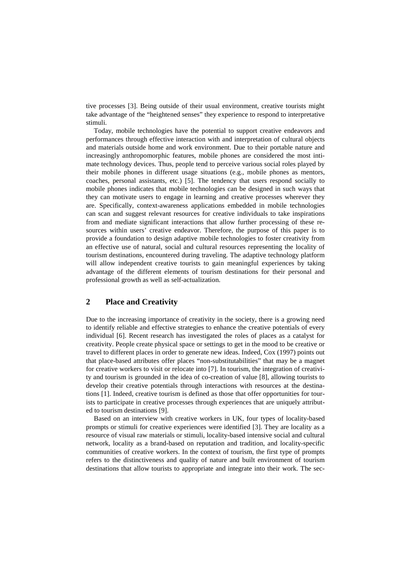tive processes [3]. Being outside of their usual environment, creative tourists might take advantage of the "heightened senses" they experience to respond to interpretative stimuli.

Today, mobile technologies have the potential to support creative endeavors and performances through effective interaction with and interpretation of cultural objects and materials outside home and work environment. Due to their portable nature and increasingly anthropomorphic features, mobile phones are considered the most intimate technology devices. Thus, people tend to perceive various social roles played by their mobile phones in different usage situations (e.g., mobile phones as mentors, coaches, personal assistants, etc.) [5]. The tendency that users respond socially to mobile phones indicates that mobile technologies can be designed in such ways that they can motivate users to engage in learning and creative processes wherever they are. Specifically, context-awareness applications embedded in mobile technologies can scan and suggest relevant resources for creative individuals to take inspirations from and mediate significant interactions that allow further processing of these resources within users' creative endeavor. Therefore, the purpose of this paper is to provide a foundation to design adaptive mobile technologies to foster creativity from an effective use of natural, social and cultural resources representing the locality of tourism destinations, encountered during traveling. The adaptive technology platform will allow independent creative tourists to gain meaningful experiences by taking advantage of the different elements of tourism destinations for their personal and professional growth as well as self-actualization.

# **2 Place and Creativity**

Due to the increasing importance of creativity in the society, there is a growing need to identify reliable and effective strategies to enhance the creative potentials of every individual [6]. Recent research has investigated the roles of places as a catalyst for creativity. People create physical space or settings to get in the mood to be creative or travel to different places in order to generate new ideas. Indeed, Cox (1997) points out that place-based attributes offer places "non-substitutabilities" that may be a magnet for creative workers to visit or relocate into [7]. In tourism, the integration of creativity and tourism is grounded in the idea of co-creation of value [8], allowing tourists to develop their creative potentials through interactions with resources at the destinations [1]. Indeed, creative tourism is defined as those that offer opportunities for tourists to participate in creative processes through experiences that are uniquely attributed to tourism destinations [9].

Based on an interview with creative workers in UK, four types of locality-based prompts or stimuli for creative experiences were identified [3]. They are locality as a resource of visual raw materials or stimuli, locality-based intensive social and cultural network, locality as a brand-based on reputation and tradition, and locality-specific communities of creative workers. In the context of tourism, the first type of prompts refers to the distinctiveness and quality of nature and built environment of tourism destinations that allow tourists to appropriate and integrate into their work. The sec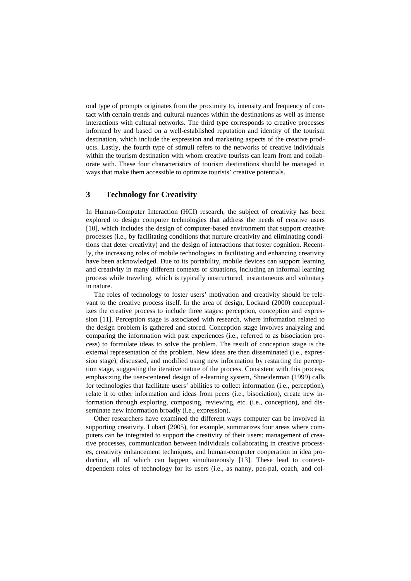ond type of prompts originates from the proximity to, intensity and frequency of contact with certain trends and cultural nuances within the destinations as well as intense interactions with cultural networks. The third type corresponds to creative processes informed by and based on a well-established reputation and identity of the tourism destination, which include the expression and marketing aspects of the creative products. Lastly, the fourth type of stimuli refers to the networks of creative individuals within the tourism destination with whom creative tourists can learn from and collaborate with. These four characteristics of tourism destinations should be managed in ways that make them accessible to optimize tourists' creative potentials.

# **3 Technology for Creativity**

In Human-Computer Interaction (HCI) research, the subject of creativity has been explored to design computer technologies that address the needs of creative users [10], which includes the design of computer-based environment that support creative processes (i.e., by facilitating conditions that nurture creativity and eliminating conditions that deter creativity) and the design of interactions that foster cognition. Recently, the increasing roles of mobile technologies in facilitating and enhancing creativity have been acknowledged. Due to its portability, mobile devices can support learning and creativity in many different contexts or situations, including an informal learning process while traveling, which is typically unstructured, instantaneous and voluntary in nature.

The roles of technology to foster users' motivation and creativity should be relevant to the creative process itself. In the area of design, Lockard (2000) conceptualizes the creative process to include three stages: perception, conception and expression [11]. Perception stage is associated with research, where information related to the design problem is gathered and stored. Conception stage involves analyzing and comparing the information with past experiences (i.e., referred to as bisociation process) to formulate ideas to solve the problem. The result of conception stage is the external representation of the problem. New ideas are then disseminated (i.e., expression stage), discussed, and modified using new information by restarting the perception stage, suggesting the iterative nature of the process. Consistent with this process, emphasizing the user-centered design of e-learning system, Shneiderman (1999) calls for technologies that facilitate users' abilities to collect information (i.e., perception), relate it to other information and ideas from peers (i.e., bisociation), create new information through exploring, composing, reviewing, etc. (i.e., conception), and disseminate new information broadly (i.e., expression).

Other researchers have examined the different ways computer can be involved in supporting creativity. Lubart (2005), for example, summarizes four areas where computers can be integrated to support the creativity of their users: management of creative processes, communication between individuals collaborating in creative processes, creativity enhancement techniques, and human-computer cooperation in idea production, all of which can happen simultaneously [13]. These lead to contextdependent roles of technology for its users (i.e., as nanny, pen-pal, coach, and col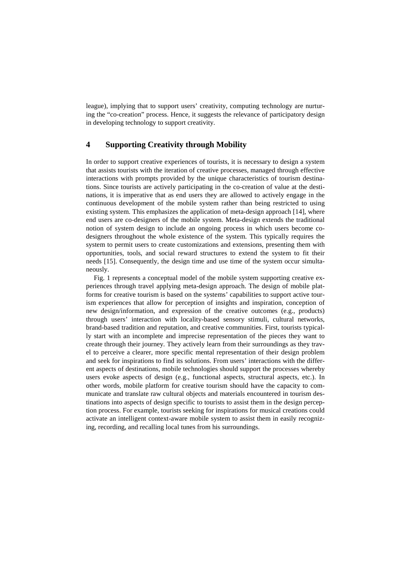league), implying that to support users' creativity, computing technology are nurturing the "co-creation" process. Hence, it suggests the relevance of participatory design in developing technology to support creativity.

### **4 Supporting Creativity through Mobility**

In order to support creative experiences of tourists, it is necessary to design a system that assists tourists with the iteration of creative processes, managed through effective interactions with prompts provided by the unique characteristics of tourism destinations. Since tourists are actively participating in the co-creation of value at the destinations, it is imperative that as end users they are allowed to actively engage in the continuous development of the mobile system rather than being restricted to using existing system. This emphasizes the application of meta-design approach [14], where end users are co-designers of the mobile system. Meta-design extends the traditional notion of system design to include an ongoing process in which users become codesigners throughout the whole existence of the system. This typically requires the system to permit users to create customizations and extensions, presenting them with opportunities, tools, and social reward structures to extend the system to fit their needs [15]. Consequently, the design time and use time of the system occur simultaneously.

Fig. 1 represents a conceptual model of the mobile system supporting creative experiences through travel applying meta-design approach. The design of mobile platforms for creative tourism is based on the systems' capabilities to support active tourism experiences that allow for perception of insights and inspiration, conception of new design/information, and expression of the creative outcomes (e.g., products) through users' interaction with locality-based sensory stimuli, cultural networks, brand-based tradition and reputation, and creative communities. First, tourists typically start with an incomplete and imprecise representation of the pieces they want to create through their journey. They actively learn from their surroundings as they travel to perceive a clearer, more specific mental representation of their design problem and seek for inspirations to find its solutions. From users' interactions with the different aspects of destinations, mobile technologies should support the processes whereby users evoke aspects of design (e.g., functional aspects, structural aspects, etc.). In other words, mobile platform for creative tourism should have the capacity to communicate and translate raw cultural objects and materials encountered in tourism destinations into aspects of design specific to tourists to assist them in the design perception process. For example, tourists seeking for inspirations for musical creations could activate an intelligent context-aware mobile system to assist them in easily recognizing, recording, and recalling local tunes from his surroundings.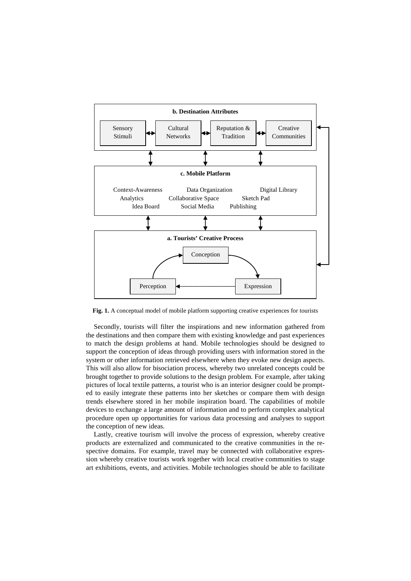

Fig. 1. A conceptual model of mobile platform supporting creative experiences for tourists

Secondly, tourists will filter the inspirations and new information gathered from the destinations and then compare them with existing knowledge and past experiences to match the design problems at hand. Mobile technologies should be designed to support the conception of ideas through providing users with information stored in the system or other information retrieved elsewhere when they evoke new design aspects. This will also allow for bisociation process, whereby two unrelated concepts could be brought together to provide solutions to the design problem. For example, after taking pictures of local textile patterns, a tourist who is an interior designer could be prompted to easily integrate these patterns into her sketches or compare them with design trends elsewhere stored in her mobile inspiration board. The capabilities of mobile devices to exchange a large amount of information and to perform complex analytical procedure open up opportunities for various data processing and analyses to support the conception of new ideas.

Lastly, creative tourism will involve the process of expression, whereby creative products are externalized and communicated to the creative communities in the respective domains. For example, travel may be connected with collaborative expression whereby creative tourists work together with local creative communities to stage art exhibitions, events, and activities. Mobile technologies should be able to facilitate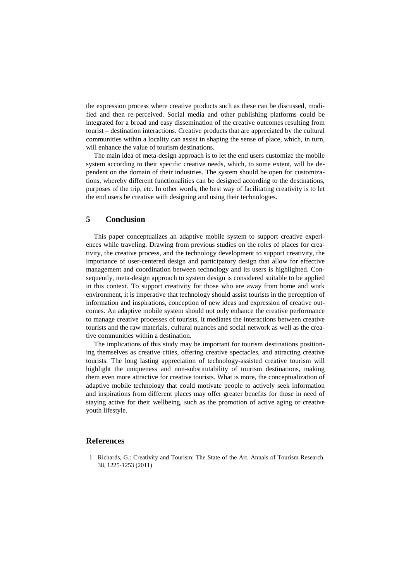the expression process where creative products such as these can be discussed, modified and then re-perceived. Social media and other publishing platforms could be integrated for a broad and easy dissemination of the creative outcomes resulting from tourist – destination interactions. Creative products that are appreciated by the cultural communities within a locality can assist in shaping the sense of place, which, in turn, will enhance the value of tourism destinations.

The main idea of meta-design approach is to let the end users customize the mobile system according to their specific creative needs, which, to some extent, will be dependent on the domain of their industries. The system should be open for customizations, whereby different functionalities can be designed according to the destinations, purposes of the trip, etc. In other words, the best way of facilitating creativity is to let the end users be creative with designing and using their technologies.

#### **5 Conclusion**

This paper conceptualizes an adaptive mobile system to support creative experiences while traveling. Drawing from previous studies on the roles of places for creativity, the creative process, and the technology development to support creativity, the importance of user-centered design and participatory design that allow for effective management and coordination between technology and its users is highlighted. Consequently, meta-design approach to system design is considered suitable to be applied in this context. To support creativity for those who are away from home and work environment, it is imperative that technology should assist tourists in the perception of information and inspirations, conception of new ideas and expression of creative outcomes. An adaptive mobile system should not only enhance the creative performance to manage creative processes of tourists, it mediates the interactions between creative tourists and the raw materials, cultural nuances and social network as well as the creative communities within a destination.

The implications of this study may be important for tourism destinations positioning themselves as creative cities, offering creative spectacles, and attracting creative tourists. The long lasting appreciation of technology-assisted creative tourism will highlight the uniqueness and non-substitutability of tourism destinations, making them even more attractive for creative tourists. What is more, the conceptualization of adaptive mobile technology that could motivate people to actively seek information and inspirations from different places may offer greater benefits for those in need of staying active for their wellbeing, such as the promotion of active aging or creative youth lifestyle.

#### **References**

1. Richards, G.: Creativity and Tourism: The State of the Art. Annals of Tourism Research. 38, 1225-1253 (2011)